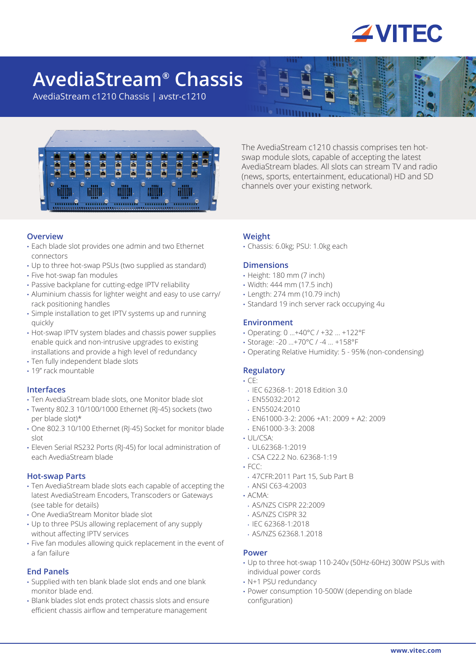

# **AvediaStream® Chassis**

AvediaStream c1210 Chassis | avstr-c1210



The AvediaStream c1210 chassis comprises ten hotswap module slots, capable of accepting the latest AvediaStream blades. All slots can stream TV and radio (news, sports, entertainment, educational) HD and SD channels over your existing network.

## **Overview**

- Each blade slot provides one admin and two Ethernet connectors
- Up to three hot-swap PSUs (two supplied as standard)
- Five hot-swap fan modules
- Passive backplane for cutting-edge IPTV reliability
- Aluminium chassis for lighter weight and easy to use carry/ rack positioning handles
- Simple installation to get IPTV systems up and running quickly
- Hot-swap IPTV system blades and chassis power supplies enable quick and non-intrusive upgrades to existing installations and provide a high level of redundancy
- Ten fully independent blade slots
- 19" rack mountable

#### **Interfaces**

- Ten AvediaStream blade slots, one Monitor blade slot
- Twenty 802.3 10/100/1000 Ethernet (RJ-45) sockets (two per blade slot)\*
- One 802.3 10/100 Ethernet (RJ-45) Socket for monitor blade slot
- Eleven Serial RS232 Ports (RJ-45) for local administration of each AvediaStream blade

#### **Hot-swap Parts**

- Ten AvediaStream blade slots each capable of accepting the latest AvediaStream Encoders, Transcoders or Gateways (see table for details)
- One AvediaStream Monitor blade slot
- Up to three PSUs allowing replacement of any supply without affecting IPTV services
- Five fan modules allowing quick replacement in the event of a fan failure

## **End Panels**

- Supplied with ten blank blade slot ends and one blank monitor blade end.
- Blank blades slot ends protect chassis slots and ensure efficient chassis airflow and temperature management

#### **Weight**

• Chassis: 6.0kg; PSU: 1.0kg each

#### **Dimensions**

- Height: 180 mm (7 inch)
- Width: 444 mm (17.5 inch)
- Length: 274 mm (10.79 inch)
- Standard 19 inch server rack occupying 4u

#### **Environment**

- Operating: 0 …+40°C / +32 … +122°F
- Storage: -20 …+70°C / -4 … +158°F
- Operating Relative Humidity: 5 95% (non-condensing)

## **Regulatory**

#### • CE:

- IEC 62368-1: 2018 Edition 3.0
- EN55032:2012
- EN55024:2010
- EN61000-3-2: 2006 +A1: 2009 + A2: 2009
- EN61000-3-3: 2008
- $\cdot$  UL/CSA $\cdot$
- UL62368-1:2019
- CSA C22.2 No. 62368-1:19
- FCC:
- 47CFR:2011 Part 15, Sub Part B
- ANSI C63-4:2003
- ACMA:
- AS/NZS CISPR 22:2009
- AS/NZS CISPR 32
- IEC 62368-1:2018
- AS/NZS 62368.1.2018

#### **Power**

- Up to three hot-swap 110-240v (50Hz-60Hz) 300W PSUs with individual power cords
- N+1 PSU redundancy
- Power consumption 10-500W (depending on blade configuration)